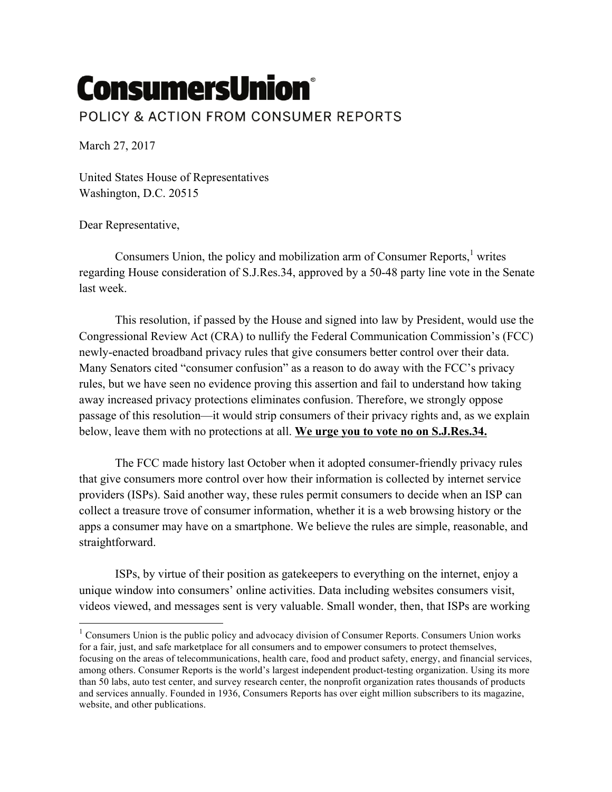## **ConsumersUnion®** POLICY & ACTION FROM CONSUMER REPORTS

March 27, 2017

United States House of Representatives Washington, D.C. 20515

Dear Representative,

Consumers Union, the policy and mobilization arm of Consumer Reports,<sup>1</sup> writes regarding House consideration of S.J.Res.34, approved by a 50-48 party line vote in the Senate last week.

This resolution, if passed by the House and signed into law by President, would use the Congressional Review Act (CRA) to nullify the Federal Communication Commission's (FCC) newly-enacted broadband privacy rules that give consumers better control over their data. Many Senators cited "consumer confusion" as a reason to do away with the FCC's privacy rules, but we have seen no evidence proving this assertion and fail to understand how taking away increased privacy protections eliminates confusion. Therefore, we strongly oppose passage of this resolution—it would strip consumers of their privacy rights and, as we explain below, leave them with no protections at all. **We urge you to vote no on S.J.Res.34.**

The FCC made history last October when it adopted consumer-friendly privacy rules that give consumers more control over how their information is collected by internet service providers (ISPs). Said another way, these rules permit consumers to decide when an ISP can collect a treasure trove of consumer information, whether it is a web browsing history or the apps a consumer may have on a smartphone. We believe the rules are simple, reasonable, and straightforward.

ISPs, by virtue of their position as gatekeepers to everything on the internet, enjoy a unique window into consumers' online activities. Data including websites consumers visit, videos viewed, and messages sent is very valuable. Small wonder, then, that ISPs are working

 $1$  Consumers Union is the public policy and advocacy division of Consumer Reports. Consumers Union works for a fair, just, and safe marketplace for all consumers and to empower consumers to protect themselves, focusing on the areas of telecommunications, health care, food and product safety, energy, and financial services, among others. Consumer Reports is the world's largest independent product-testing organization. Using its more than 50 labs, auto test center, and survey research center, the nonprofit organization rates thousands of products and services annually. Founded in 1936, Consumers Reports has over eight million subscribers to its magazine, website, and other publications.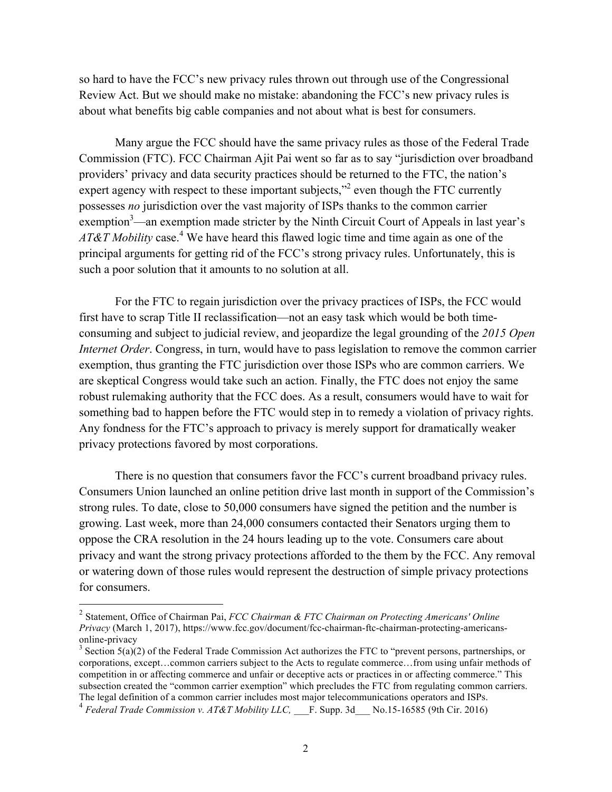so hard to have the FCC's new privacy rules thrown out through use of the Congressional Review Act. But we should make no mistake: abandoning the FCC's new privacy rules is about what benefits big cable companies and not about what is best for consumers.

 Many argue the FCC should have the same privacy rules as those of the Federal Trade Commission (FTC). FCC Chairman Ajit Pai went so far as to say "jurisdiction over broadband providers' privacy and data security practices should be returned to the FTC, the nation's expert agency with respect to these important subjects,"<sup>2</sup> even though the FTC currently possesses *no* jurisdiction over the vast majority of ISPs thanks to the common carrier exemption<sup>3</sup>—an exemption made stricter by the Ninth Circuit Court of Appeals in last year's *AT&T Mobility* case.<sup>4</sup> We have heard this flawed logic time and time again as one of the principal arguments for getting rid of the FCC's strong privacy rules. Unfortunately, this is such a poor solution that it amounts to no solution at all.

For the FTC to regain jurisdiction over the privacy practices of ISPs, the FCC would first have to scrap Title II reclassification—not an easy task which would be both timeconsuming and subject to judicial review, and jeopardize the legal grounding of the *2015 Open Internet Order*. Congress, in turn, would have to pass legislation to remove the common carrier exemption, thus granting the FTC jurisdiction over those ISPs who are common carriers. We are skeptical Congress would take such an action. Finally, the FTC does not enjoy the same robust rulemaking authority that the FCC does. As a result, consumers would have to wait for something bad to happen before the FTC would step in to remedy a violation of privacy rights. Any fondness for the FTC's approach to privacy is merely support for dramatically weaker privacy protections favored by most corporations.

There is no question that consumers favor the FCC's current broadband privacy rules. Consumers Union launched an online petition drive last month in support of the Commission's strong rules. To date, close to 50,000 consumers have signed the petition and the number is growing. Last week, more than 24,000 consumers contacted their Senators urging them to oppose the CRA resolution in the 24 hours leading up to the vote. Consumers care about privacy and want the strong privacy protections afforded to the them by the FCC. Any removal or watering down of those rules would represent the destruction of simple privacy protections for consumers.

 

<sup>2</sup> Statement, Office of Chairman Pai, *FCC Chairman & FTC Chairman on Protecting Americans' Online Privacy* (March 1, 2017), https://www.fcc.gov/document/fcc-chairman-ftc-chairman-protecting-americansonline-privacy<br><sup>3</sup> Section 5(a)(2) of the Federal Trade Commission Act authorizes the FTC to "prevent persons, partnerships, or

corporations, except…common carriers subject to the Acts to regulate commerce…from using unfair methods of competition in or affecting commerce and unfair or deceptive acts or practices in or affecting commerce." This subsection created the "common carrier exemption" which precludes the FTC from regulating common carriers. The legal definition of a common carrier includes most major telecommunications operators and ISPs.

<sup>4</sup> *Federal Trade Commission v. AT&T Mobility LLC,* \_\_\_F. Supp. 3d\_\_\_ No.15-16585 (9th Cir. 2016)